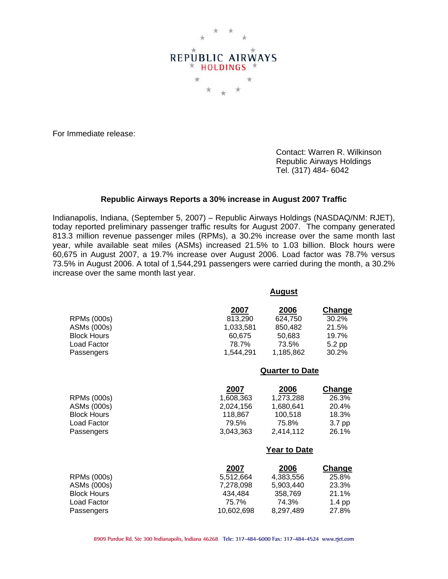

For Immediate release:

 Contact: Warren R. Wilkinson Republic Airways Holdings Tel. (317) 484- 6042

## **Republic Airways Reports a 30% increase in August 2007 Traffic**

Indianapolis, Indiana, (September 5, 2007) – Republic Airways Holdings (NASDAQ/NM: RJET), today reported preliminary passenger traffic results for August 2007. The company generated 813.3 million revenue passenger miles (RPMs), a 30.2% increase over the same month last year, while available seat miles (ASMs) increased 21.5% to 1.03 billion. Block hours were 60,675 in August 2007, a 19.7% increase over August 2006. Load factor was 78.7% versus 73.5% in August 2006. A total of 1,544,291 passengers were carried during the month, a 30.2% increase over the same month last year.

|                    | 2007      | 2006                   | Change |
|--------------------|-----------|------------------------|--------|
| <b>RPMs (000s)</b> | 813,290   | 624,750                | 30.2%  |
| ASMs (000s)        | 1,033,581 | 850,482                | 21.5%  |
| <b>Block Hours</b> | 60,675    | 50,683                 | 19.7%  |
| Load Factor        | 78.7%     | 73.5%                  | 5.2 pp |
| Passengers         | 1.544.291 | 1.185.862              | 30.2%  |
|                    |           | <b>Quarter to Date</b> |        |
|                    |           |                        |        |

|                    | 2007      | 2006      | <b>Change</b> |
|--------------------|-----------|-----------|---------------|
| <b>RPMs (000s)</b> | 1.608.363 | 1,273,288 | 26.3%         |
| ASMs (000s)        | 2,024,156 | 1,680,641 | 20.4%         |
| <b>Block Hours</b> | 118.867   | 100.518   | 18.3%         |
| Load Factor        | 79.5%     | 75.8%     | 3.7 pp        |
| Passengers         | 3,043,363 | 2,414,112 | 26.1%         |
|                    |           |           |               |

## **Year to Date**

**August**

|                    | 2007       | 2006      | <b>Change</b> |
|--------------------|------------|-----------|---------------|
| RPMs (000s)        | 5.512.664  | 4.383.556 | 25.8%         |
| ASMs (000s)        | 7,278,098  | 5.903.440 | 23.3%         |
| <b>Block Hours</b> | 434.484    | 358.769   | 21.1%         |
| Load Factor        | 75.7%      | 74.3%     | $1.4$ pp      |
| Passengers         | 10,602,698 | 8,297,489 | 27.8%         |